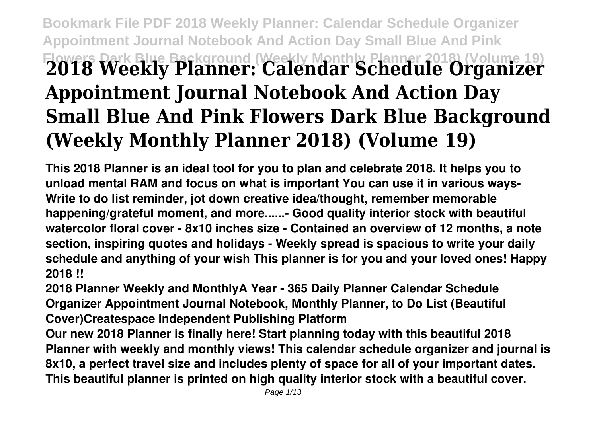## **Bookmark File PDF 2018 Weekly Planner: Calendar Schedule Organizer Appointment Journal Notebook And Action Day Small Blue And Pink Flowers Dark Blue Background (Weekly Monthly Planner 2018) (Volume 19) 2018 Weekly Planner: Calendar Schedule Organizer Appointment Journal Notebook And Action Day Small Blue And Pink Flowers Dark Blue Background (Weekly Monthly Planner 2018) (Volume 19)**

**This 2018 Planner is an ideal tool for you to plan and celebrate 2018. It helps you to unload mental RAM and focus on what is important You can use it in various ways-Write to do list reminder, jot down creative idea/thought, remember memorable happening/grateful moment, and more......- Good quality interior stock with beautiful watercolor floral cover - 8x10 inches size - Contained an overview of 12 months, a note section, inspiring quotes and holidays - Weekly spread is spacious to write your daily schedule and anything of your wish This planner is for you and your loved ones! Happy 2018 !!**

**2018 Planner Weekly and MonthlyA Year - 365 Daily Planner Calendar Schedule Organizer Appointment Journal Notebook, Monthly Planner, to Do List (Beautiful Cover)Createspace Independent Publishing Platform**

**Our new 2018 Planner is finally here! Start planning today with this beautiful 2018 Planner with weekly and monthly views! This calendar schedule organizer and journal is 8x10, a perfect travel size and includes plenty of space for all of your important dates. This beautiful planner is printed on high quality interior stock with a beautiful cover.**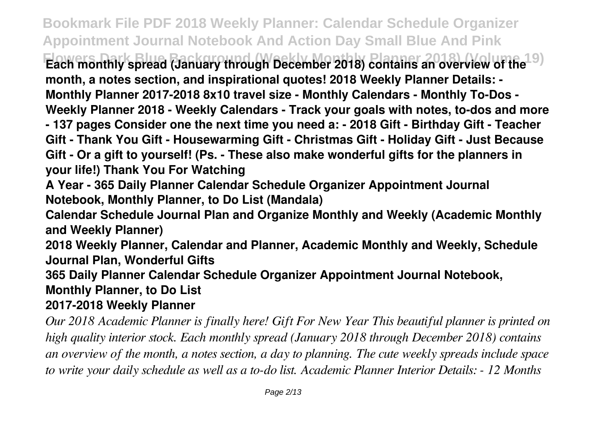**Bookmark File PDF 2018 Weekly Planner: Calendar Schedule Organizer Appointment Journal Notebook And Action Day Small Blue And Pink Flowers Dark Blue Background (Weekly Monthly Planner 2018) (Volume 19) Each monthly spread (January through December 2018) contains an overview of the month, a notes section, and inspirational quotes! 2018 Weekly Planner Details: - Monthly Planner 2017-2018 8x10 travel size - Monthly Calendars - Monthly To-Dos - Weekly Planner 2018 - Weekly Calendars - Track your goals with notes, to-dos and more - 137 pages Consider one the next time you need a: - 2018 Gift - Birthday Gift - Teacher Gift - Thank You Gift - Housewarming Gift - Christmas Gift - Holiday Gift - Just Because Gift - Or a gift to yourself! (Ps. - These also make wonderful gifts for the planners in your life!) Thank You For Watching**

**A Year - 365 Daily Planner Calendar Schedule Organizer Appointment Journal Notebook, Monthly Planner, to Do List (Mandala)**

**Calendar Schedule Journal Plan and Organize Monthly and Weekly (Academic Monthly and Weekly Planner)**

**2018 Weekly Planner, Calendar and Planner, Academic Monthly and Weekly, Schedule Journal Plan, Wonderful Gifts**

**365 Daily Planner Calendar Schedule Organizer Appointment Journal Notebook,**

## **Monthly Planner, to Do List**

## **2017-2018 Weekly Planner**

*Our 2018 Academic Planner is finally here! Gift For New Year This beautiful planner is printed on high quality interior stock. Each monthly spread (January 2018 through December 2018) contains an overview of the month, a notes section, a day to planning. The cute weekly spreads include space to write your daily schedule as well as a to-do list. Academic Planner Interior Details: - 12 Months*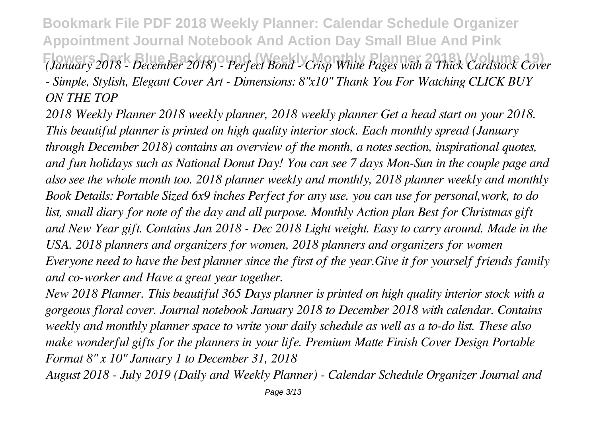**Bookmark File PDF 2018 Weekly Planner: Calendar Schedule Organizer Appointment Journal Notebook And Action Day Small Blue And Pink Flowers Dark Blue Background (Weekly Monthly Planner 2018) (Volume 19)** *(January 2018 - December 2018) - Perfect Bond - Crisp White Pages with a Thick Cardstock Cover - Simple, Stylish, Elegant Cover Art - Dimensions: 8"x10" Thank You For Watching CLICK BUY ON THE TOP*

*2018 Weekly Planner 2018 weekly planner, 2018 weekly planner Get a head start on your 2018. This beautiful planner is printed on high quality interior stock. Each monthly spread (January through December 2018) contains an overview of the month, a notes section, inspirational quotes, and fun holidays such as National Donut Day! You can see 7 days Mon-Sun in the couple page and also see the whole month too. 2018 planner weekly and monthly, 2018 planner weekly and monthly Book Details: Portable Sized 6x9 inches Perfect for any use. you can use for personal,work, to do list, small diary for note of the day and all purpose. Monthly Action plan Best for Christmas gift and New Year gift. Contains Jan 2018 - Dec 2018 Light weight. Easy to carry around. Made in the USA. 2018 planners and organizers for women, 2018 planners and organizers for women Everyone need to have the best planner since the first of the year.Give it for yourself friends family and co-worker and Have a great year together.*

*New 2018 Planner. This beautiful 365 Days planner is printed on high quality interior stock with a gorgeous floral cover. Journal notebook January 2018 to December 2018 with calendar. Contains weekly and monthly planner space to write your daily schedule as well as a to-do list. These also make wonderful gifts for the planners in your life. Premium Matte Finish Cover Design Portable Format 8" x 10" January 1 to December 31, 2018*

*August 2018 - July 2019 (Daily and Weekly Planner) - Calendar Schedule Organizer Journal and*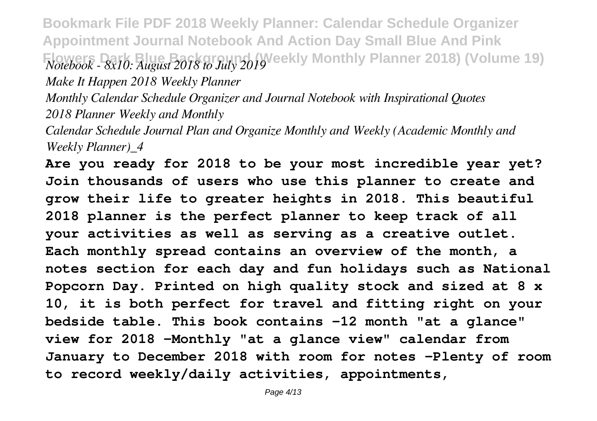**Bookmark File PDF 2018 Weekly Planner: Calendar Schedule Organizer Appointment Journal Notebook And Action Day Small Blue And Pink Flowers Background (Weekly Monthly Planner 2018) (Volume 19)** *Notebook - 8x10: August 2018 to July 2019* 

*Make It Happen 2018 Weekly Planner*

*Monthly Calendar Schedule Organizer and Journal Notebook with Inspirational Quotes 2018 Planner Weekly and Monthly*

*Calendar Schedule Journal Plan and Organize Monthly and Weekly (Academic Monthly and Weekly Planner)\_4*

**Are you ready for 2018 to be your most incredible year yet? Join thousands of users who use this planner to create and grow their life to greater heights in 2018. This beautiful 2018 planner is the perfect planner to keep track of all your activities as well as serving as a creative outlet. Each monthly spread contains an overview of the month, a notes section for each day and fun holidays such as National Popcorn Day. Printed on high quality stock and sized at 8 x 10, it is both perfect for travel and fitting right on your bedside table. This book contains -12 month "at a glance" view for 2018 -Monthly "at a glance view" calendar from January to December 2018 with room for notes -Plenty of room to record weekly/daily activities, appointments,**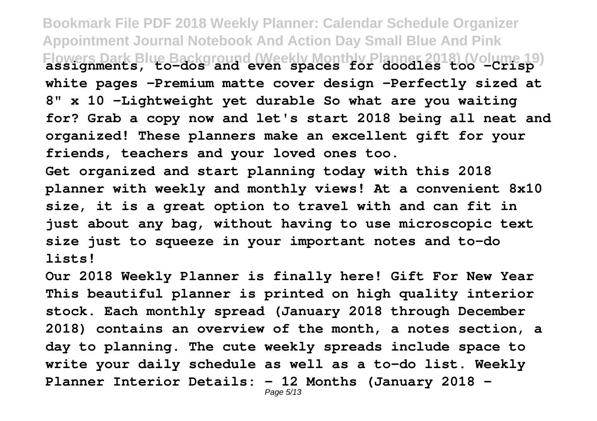**Bookmark File PDF 2018 Weekly Planner: Calendar Schedule Organizer Appointment Journal Notebook And Action Day Small Blue And Pink Flowers Dark Blue Background (Weekly Monthly Planner 2018) (Volume 19) assignments, to-dos and even spaces for doodles too -Crisp white pages -Premium matte cover design -Perfectly sized at 8" x 10 -Lightweight yet durable So what are you waiting for? Grab a copy now and let's start 2018 being all neat and organized! These planners make an excellent gift for your friends, teachers and your loved ones too. Get organized and start planning today with this 2018 planner with weekly and monthly views! At a convenient 8x10 size, it is a great option to travel with and can fit in just about any bag, without having to use microscopic text size just to squeeze in your important notes and to-do lists!**

**Our 2018 Weekly Planner is finally here! Gift For New Year This beautiful planner is printed on high quality interior stock. Each monthly spread (January 2018 through December 2018) contains an overview of the month, a notes section, a day to planning. The cute weekly spreads include space to write your daily schedule as well as a to-do list. Weekly Planner Interior Details: - 12 Months (January 2018 -** Page 5/13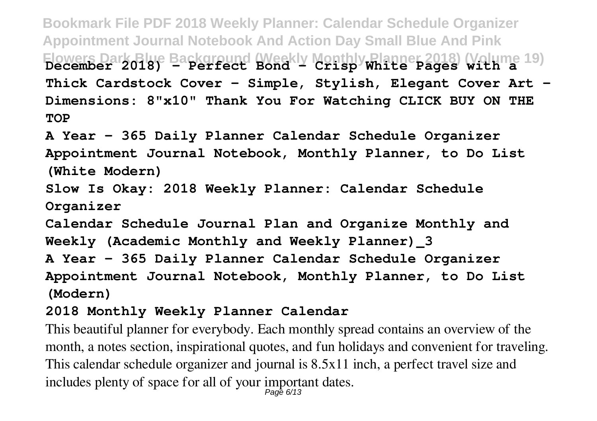**Bookmark File PDF 2018 Weekly Planner: Calendar Schedule Organizer Appointment Journal Notebook And Action Day Small Blue And Pink** Flowers Dark Blue Background (Weekly Monthly Planner 2018) (Volume 19)<br>December 2018) - Perfect Bond - Crisp White Pages with a **Thick Cardstock Cover - Simple, Stylish, Elegant Cover Art - Dimensions: 8"x10" Thank You For Watching CLICK BUY ON THE TOP**

**A Year - 365 Daily Planner Calendar Schedule Organizer Appointment Journal Notebook, Monthly Planner, to Do List (White Modern)**

**Slow Is Okay: 2018 Weekly Planner: Calendar Schedule Organizer**

**Calendar Schedule Journal Plan and Organize Monthly and Weekly (Academic Monthly and Weekly Planner)\_3**

**A Year - 365 Daily Planner Calendar Schedule Organizer Appointment Journal Notebook, Monthly Planner, to Do List (Modern)**

## **2018 Monthly Weekly Planner Calendar**

This beautiful planner for everybody. Each monthly spread contains an overview of the month, a notes section, inspirational quotes, and fun holidays and convenient for traveling. This calendar schedule organizer and journal is 8.5x11 inch, a perfect travel size and includes plenty of space for all of your important dates. Page 6/13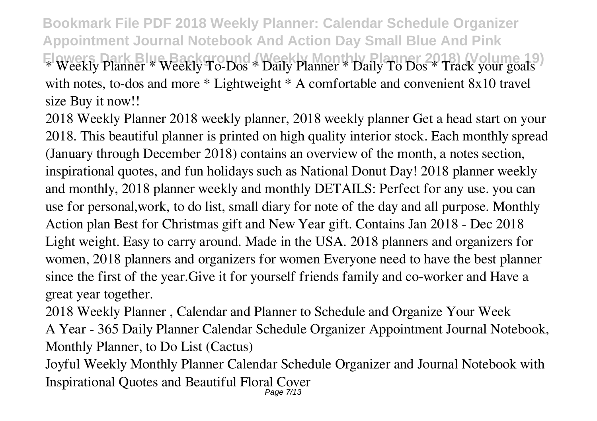**Bookmark File PDF 2018 Weekly Planner: Calendar Schedule Organizer Appointment Journal Notebook And Action Day Small Blue And Pink Flowers Dark Blue Background (Weekly Monthly Planner 2018) (Volume 19)** \* Weekly Planner \* Weekly To-Dos \* Daily Planner \* Daily To Dos \* Track your goals with notes, to-dos and more \* Lightweight \* A comfortable and convenient 8x10 travel size Buy it now!!

2018 Weekly Planner 2018 weekly planner, 2018 weekly planner Get a head start on your 2018. This beautiful planner is printed on high quality interior stock. Each monthly spread (January through December 2018) contains an overview of the month, a notes section, inspirational quotes, and fun holidays such as National Donut Day! 2018 planner weekly and monthly, 2018 planner weekly and monthly DETAILS: Perfect for any use. you can use for personal,work, to do list, small diary for note of the day and all purpose. Monthly Action plan Best for Christmas gift and New Year gift. Contains Jan 2018 - Dec 2018 Light weight. Easy to carry around. Made in the USA. 2018 planners and organizers for women, 2018 planners and organizers for women Everyone need to have the best planner since the first of the year.Give it for yourself friends family and co-worker and Have a great year together.

2018 Weekly Planner , Calendar and Planner to Schedule and Organize Your Week A Year - 365 Daily Planner Calendar Schedule Organizer Appointment Journal Notebook, Monthly Planner, to Do List (Cactus)

Joyful Weekly Monthly Planner Calendar Schedule Organizer and Journal Notebook with Inspirational Quotes and Beautiful Floral Cover Page 7/13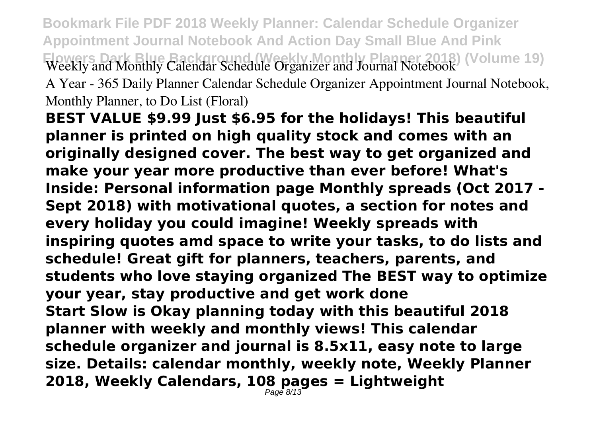**Bookmark File PDF 2018 Weekly Planner: Calendar Schedule Organizer Appointment Journal Notebook And Action Day Small Blue And Pink Flowers Dark Blue Background (Weekly Monthly Planner 2018) (Volume 19)** Weekly and Monthly Calendar Schedule Organizer and Journal Notebook A Year - 365 Daily Planner Calendar Schedule Organizer Appointment Journal Notebook, Monthly Planner, to Do List (Floral)

**BEST VALUE \$9.99 Just \$6.95 for the holidays! This beautiful planner is printed on high quality stock and comes with an originally designed cover. The best way to get organized and make your year more productive than ever before! What's Inside: Personal information page Monthly spreads (Oct 2017 - Sept 2018) with motivational quotes, a section for notes and every holiday you could imagine! Weekly spreads with inspiring quotes amd space to write your tasks, to do lists and schedule! Great gift for planners, teachers, parents, and students who love staying organized The BEST way to optimize your year, stay productive and get work done Start Slow is Okay planning today with this beautiful 2018 planner with weekly and monthly views! This calendar schedule organizer and journal is 8.5x11, easy note to large size. Details: calendar monthly, weekly note, Weekly Planner 2018, Weekly Calendars, 108 pages = Lightweight** Page 8/13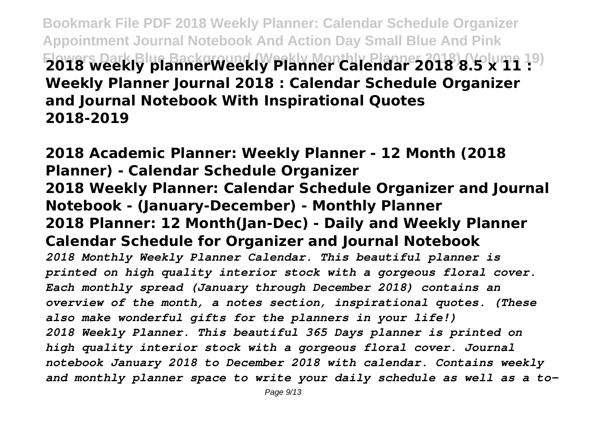**Bookmark File PDF 2018 Weekly Planner: Calendar Schedule Organizer Appointment Journal Notebook And Action Day Small Blue And Pink Flowers Dark Blue Background (Weekly Monthly Planner 2018) (Volume 19) 2018 weekly plannerWeekly Planner Calendar 2018 8.5 x 11 : Weekly Planner Journal 2018 : Calendar Schedule Organizer and Journal Notebook With Inspirational Quotes 2018-2019**

**2018 Academic Planner: Weekly Planner - 12 Month (2018 Planner) - Calendar Schedule Organizer 2018 Weekly Planner: Calendar Schedule Organizer and Journal Notebook - (January-December) - Monthly Planner 2018 Planner: 12 Month(Jan-Dec) - Daily and Weekly Planner Calendar Schedule for Organizer and Journal Notebook** *2018 Monthly Weekly Planner Calendar. This beautiful planner is printed on high quality interior stock with a gorgeous floral cover. Each monthly spread (January through December 2018) contains an overview of the month, a notes section, inspirational quotes. (These also make wonderful gifts for the planners in your life!) 2018 Weekly Planner. This beautiful 365 Days planner is printed on high quality interior stock with a gorgeous floral cover. Journal notebook January 2018 to December 2018 with calendar. Contains weekly and monthly planner space to write your daily schedule as well as a to-*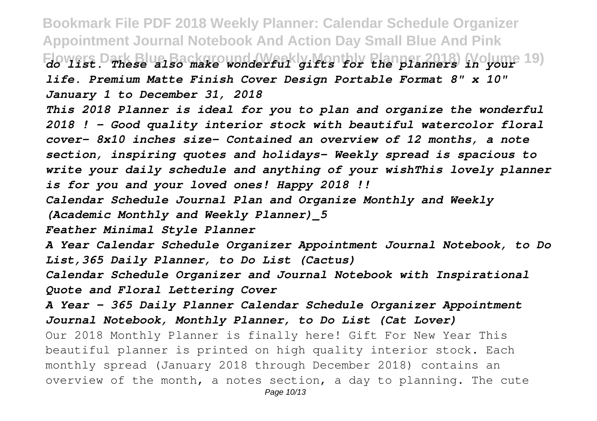**Bookmark File PDF 2018 Weekly Planner: Calendar Schedule Organizer Appointment Journal Notebook And Action Day Small Blue And Pink Flowers Dark Blue Background (Weekly Monthly Planner 2018) (Volume 19)** *do list. These also make wonderful gifts for the planners in your life. Premium Matte Finish Cover Design Portable Format 8" x 10" January 1 to December 31, 2018 This 2018 Planner is ideal for you to plan and organize the wonderful 2018 ! - Good quality interior stock with beautiful watercolor floral cover- 8x10 inches size- Contained an overview of 12 months, a note section, inspiring quotes and holidays- Weekly spread is spacious to write your daily schedule and anything of your wishThis lovely planner is for you and your loved ones! Happy 2018 !! Calendar Schedule Journal Plan and Organize Monthly and Weekly (Academic Monthly and Weekly Planner)\_5 Feather Minimal Style Planner A Year Calendar Schedule Organizer Appointment Journal Notebook, to Do List,365 Daily Planner, to Do List (Cactus) Calendar Schedule Organizer and Journal Notebook with Inspirational Quote and Floral Lettering Cover A Year - 365 Daily Planner Calendar Schedule Organizer Appointment Journal Notebook, Monthly Planner, to Do List (Cat Lover)* Our 2018 Monthly Planner is finally here! Gift For New Year This beautiful planner is printed on high quality interior stock. Each monthly spread (January 2018 through December 2018) contains an overview of the month, a notes section, a day to planning. The cute Page 10/13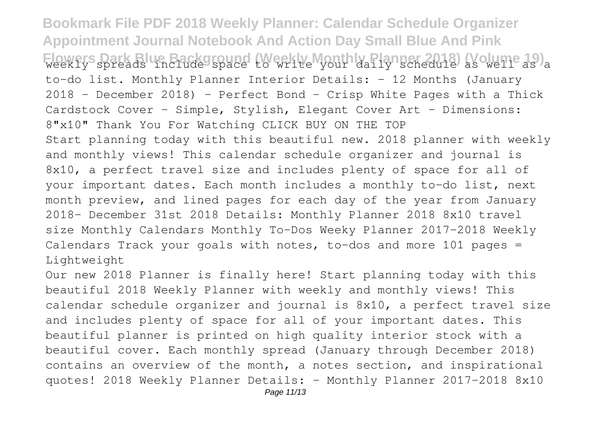**Bookmark File PDF 2018 Weekly Planner: Calendar Schedule Organizer Appointment Journal Notebook And Action Day Small Blue And Pink** Flowers Dark Blue Background (Weekly Monthly Planner 2018) (Volume 19)<sub>a</sub> to-do list. Monthly Planner Interior Details: - 12 Months (January 2018 - December 2018) - Perfect Bond - Crisp White Pages with a Thick Cardstock Cover - Simple, Stylish, Elegant Cover Art - Dimensions: 8"x10" Thank You For Watching CLICK BUY ON THE TOP Start planning today with this beautiful new. 2018 planner with weekly and monthly views! This calendar schedule organizer and journal is 8x10, a perfect travel size and includes plenty of space for all of your important dates. Each month includes a monthly to-do list, next month preview, and lined pages for each day of the year from January 2018- December 31st 2018 Details: Monthly Planner 2018 8x10 travel size Monthly Calendars Monthly To-Dos Weeky Planner 2017-2018 Weekly Calendars Track your goals with notes, to-dos and more 101 pages = Lightweight

Our new 2018 Planner is finally here! Start planning today with this beautiful 2018 Weekly Planner with weekly and monthly views! This calendar schedule organizer and journal is 8x10, a perfect travel size and includes plenty of space for all of your important dates. This beautiful planner is printed on high quality interior stock with a beautiful cover. Each monthly spread (January through December 2018) contains an overview of the month, a notes section, and inspirational quotes! 2018 Weekly Planner Details: - Monthly Planner 2017-2018 8x10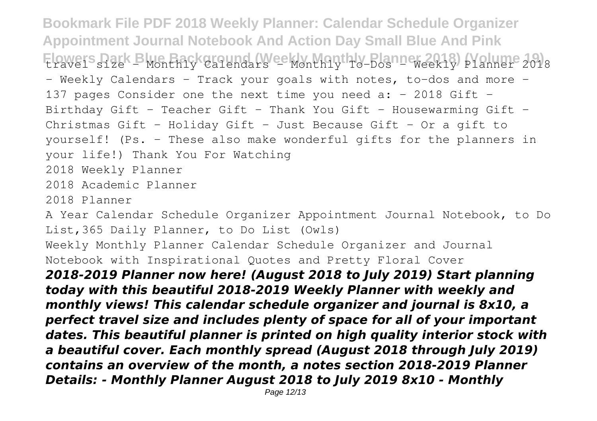**Bookmark File PDF 2018 Weekly Planner: Calendar Schedule Organizer Appointment Journal Notebook And Action Day Small Blue And Pink** Flowers Park Blue Background (Weekly Harthly Planner 2018) (Volume 2018) - Weekly Calendars - Track your goals with notes, to-dos and more -137 pages Consider one the next time you need a:  $-$  2018 Gift  $-$ Birthday Gift - Teacher Gift - Thank You Gift - Housewarming Gift -Christmas Gift - Holiday Gift - Just Because Gift - Or a gift to yourself! (Ps. - These also make wonderful gifts for the planners in your life!) Thank You For Watching 2018 Weekly Planner 2018 Academic Planner 2018 Planner

A Year Calendar Schedule Organizer Appointment Journal Notebook, to Do List,365 Daily Planner, to Do List (Owls)

Weekly Monthly Planner Calendar Schedule Organizer and Journal Notebook with Inspirational Quotes and Pretty Floral Cover

*2018-2019 Planner now here! (August 2018 to July 2019) Start planning today with this beautiful 2018-2019 Weekly Planner with weekly and monthly views! This calendar schedule organizer and journal is 8x10, a perfect travel size and includes plenty of space for all of your important dates. This beautiful planner is printed on high quality interior stock with a beautiful cover. Each monthly spread (August 2018 through July 2019) contains an overview of the month, a notes section 2018-2019 Planner Details: - Monthly Planner August 2018 to July 2019 8x10 - Monthly*